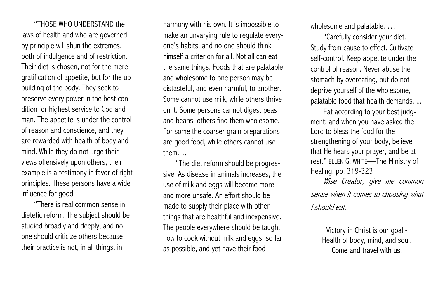"THOSE WHO UNDERSTAND the laws of health and who are governed by principle will shun the extremes, both of indulgence and of restriction. Their diet is chosen, not for the mere gratification of appetite, but for the up building of the body. They seek to preserve every power in the best condition for highest service to God and man. The appetite is under the control of reason and conscience, and they are rewarded with health of body and mind. While they do not urge their views offensively upon others, their example is a testimony in favor of right principles. These persons have a wide influence for good.

"There is real common sense in dietetic reform. The subject should be studied broadly and deeply, and no one should criticize others because their practice is not, in all things, in

harmony with his own. It is impossible to make an unvarying rule to regulate everyone's habits, and no one should think himself a criterion for all. Not all can eat the same things. Foods that are palatable and wholesome to one person may be distasteful, and even harmful, to another. Some cannot use milk, while others thrive on it. Some persons cannot digest peas and beans; others find them wholesome. For some the coarser grain preparations are good food, while others cannot use them. ...

"The diet reform should be progressive. As disease in animals increases, the use of milk and eggs will become more and more unsafe. An effort should be made to supply their place with other things that are healthful and inexpensive. The people everywhere should be taught how to cook without milk and eggs, so far as possible, and yet have their food

wholesome and palatable. …

"Carefully consider your diet. Study from cause to effect. Cultivate self-control. Keep appetite under the control of reason. Never abuse the stomach by overeating, but do not deprive yourself of the wholesome, palatable food that health demands. ...

Eat according to your best judgment; and when you have asked the Lord to bless the food for the strengthening of your body, believe that He hears your prayer, and be at rest." ELLEN G. WHITE—The Ministry of Healing, pp. 319-323

Wise Creator, give me common sense when it comes to choosing what I should eat.

> Victory in Christ is our goal - Health of body, mind, and soul. Come and travel with us.